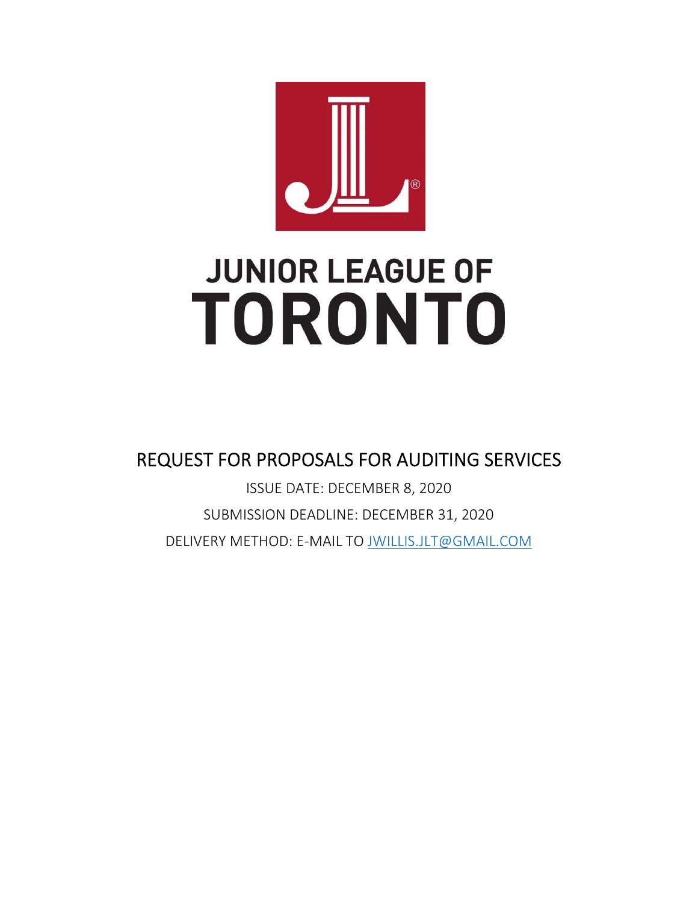

# **JUNIOR LEAGUE OF TORONTO**

REQUEST FOR PROPOSALS FOR AUDITING SERVICES

ISSUE DATE: DECEMBER 8, 2020 SUBMISSION DEADLINE: DECEMBER 31, 2020 DELIVERY METHOD: E‐MAIL TO JWILLIS.JLT@GMAIL.COM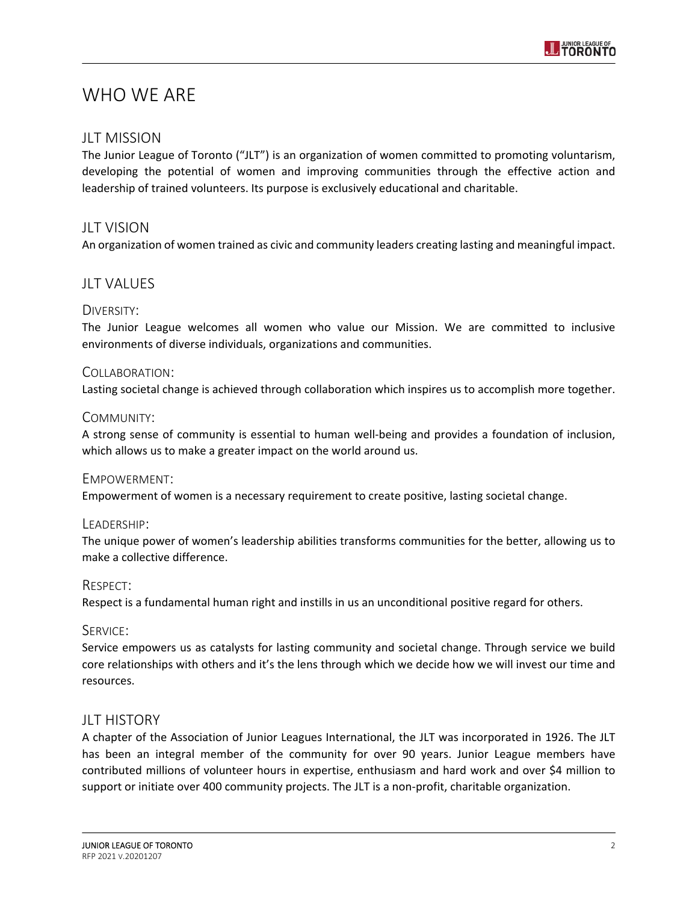

# WHO WE ARE

#### JLT MISSION

The Junior League of Toronto ("JLT") is an organization of women committed to promoting voluntarism, developing the potential of women and improving communities through the effective action and leadership of trained volunteers. Its purpose is exclusively educational and charitable.

#### **JLT VISION**

An organization of women trained as civic and community leaders creating lasting and meaningful impact.

## **JLT VALUES**

#### DIVERSITY:

The Junior League welcomes all women who value our Mission. We are committed to inclusive environments of diverse individuals, organizations and communities.

#### COLLABORATION:

Lasting societal change is achieved through collaboration which inspires us to accomplish more together.

#### COMMUNITY:

A strong sense of community is essential to human well‐being and provides a foundation of inclusion, which allows us to make a greater impact on the world around us.

#### EMPOWERMENT:

Empowerment of women is a necessary requirement to create positive, lasting societal change.

#### LEADERSHIP:

The unique power of women's leadership abilities transforms communities for the better, allowing us to make a collective difference.

#### RESPECT:

Respect is a fundamental human right and instills in us an unconditional positive regard for others.

#### SERVICE:

Service empowers us as catalysts for lasting community and societal change. Through service we build core relationships with others and it's the lens through which we decide how we will invest our time and resources.

#### JLT HISTORY

A chapter of the Association of Junior Leagues International, the JLT was incorporated in 1926. The JLT has been an integral member of the community for over 90 years. Junior League members have contributed millions of volunteer hours in expertise, enthusiasm and hard work and over \$4 million to support or initiate over 400 community projects. The JLT is a non-profit, charitable organization.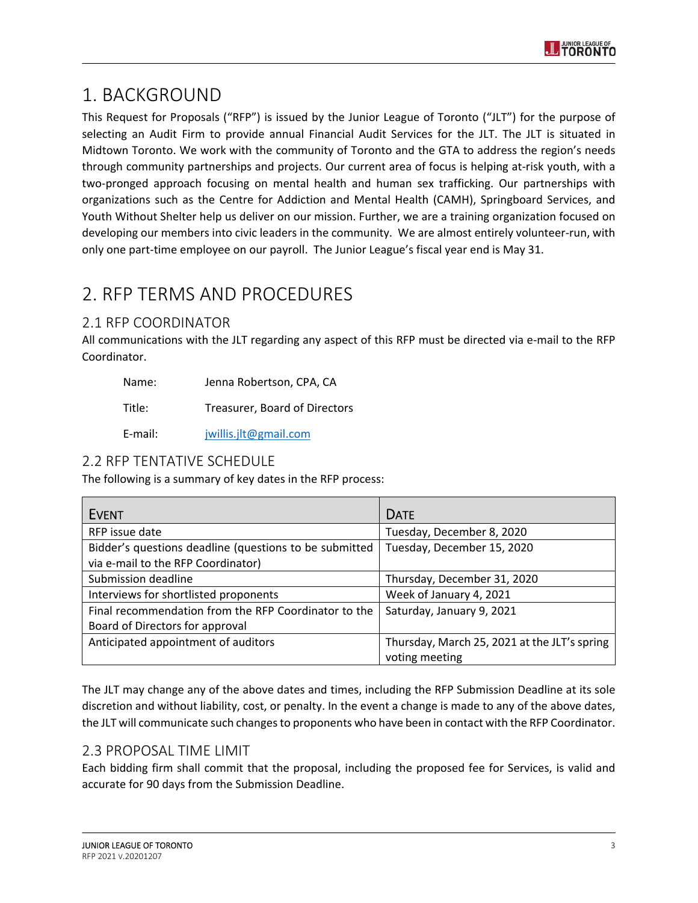

# 1. BACKGROUND

This Request for Proposals ("RFP") is issued by the Junior League of Toronto ("JLT") for the purpose of selecting an Audit Firm to provide annual Financial Audit Services for the JLT. The JLT is situated in Midtown Toronto. We work with the community of Toronto and the GTA to address the region's needs through community partnerships and projects. Our current area of focus is helping at‐risk youth, with a two‐pronged approach focusing on mental health and human sex trafficking. Our partnerships with organizations such as the Centre for Addiction and Mental Health (CAMH), Springboard Services, and Youth Without Shelter help us deliver on our mission. Further, we are a training organization focused on developing our members into civic leaders in the community. We are almost entirely volunteer‐run, with only one part‐time employee on our payroll. The Junior League's fiscal year end is May 31.

# 2. RFP TERMS AND PROCEDURES

# 2.1 RFP COORDINATOR

All communications with the JLT regarding any aspect of this RFP must be directed via e-mail to the RFP Coordinator.

| Name: | Jenna Robertson, CPA, CA |  |
|-------|--------------------------|--|
|       |                          |  |

Title: Treasurer, Board of Directors

E‐mail: jwillis.jlt@gmail.com

## 2.2 RFP TENTATIVE SCHEDULE

The following is a summary of key dates in the RFP process:

| <b>EVENT</b>                                                                                 | <b>DATE</b>                                                    |
|----------------------------------------------------------------------------------------------|----------------------------------------------------------------|
| RFP issue date                                                                               | Tuesday, December 8, 2020                                      |
| Bidder's questions deadline (questions to be submitted<br>via e-mail to the RFP Coordinator) | Tuesday, December 15, 2020                                     |
| Submission deadline                                                                          | Thursday, December 31, 2020                                    |
| Interviews for shortlisted proponents                                                        | Week of January 4, 2021                                        |
| Final recommendation from the RFP Coordinator to the<br>Board of Directors for approval      | Saturday, January 9, 2021                                      |
| Anticipated appointment of auditors                                                          | Thursday, March 25, 2021 at the JLT's spring<br>voting meeting |

The JLT may change any of the above dates and times, including the RFP Submission Deadline at its sole discretion and without liability, cost, or penalty. In the event a change is made to any of the above dates, the JLT will communicate such changes to proponents who have been in contact with the RFP Coordinator.

## 2.3 PROPOSAL TIME LIMIT

Each bidding firm shall commit that the proposal, including the proposed fee for Services, is valid and accurate for 90 days from the Submission Deadline.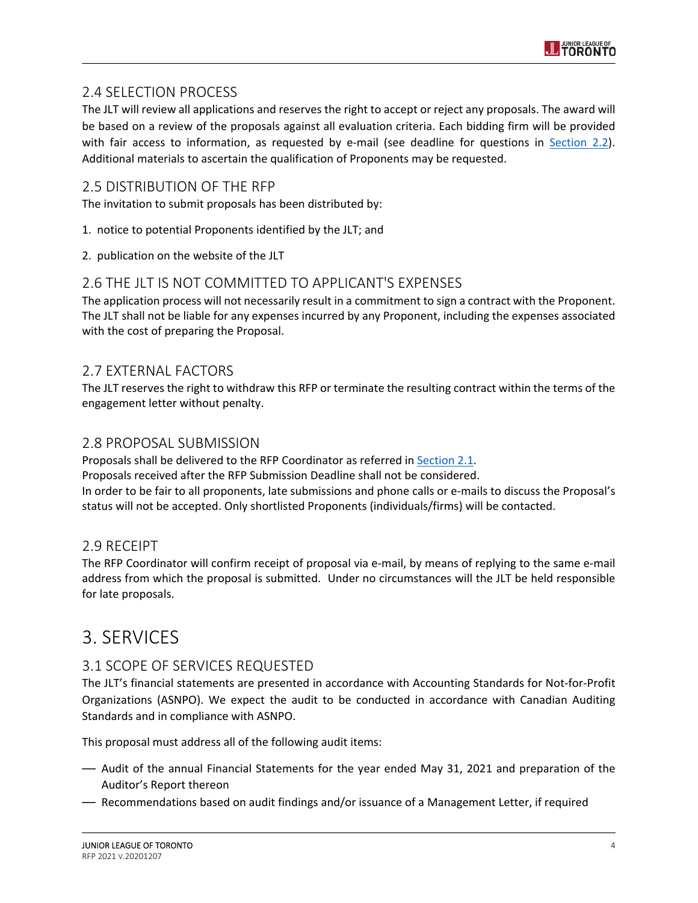# 2.4 SELECTION PROCESS

The JLT will review all applications and reserves the right to accept or reject any proposals. The award will be based on a review of the proposals against all evaluation criteria. Each bidding firm will be provided with fair access to information, as requested by e-mail (see deadline for questions in Section 2.2). Additional materials to ascertain the qualification of Proponents may be requested.

## 2.5 DISTRIBUTION OF THE RFP

The invitation to submit proposals has been distributed by:

- 1. notice to potential Proponents identified by the JLT; and
- 2. publication on the website of the JLT

## 2.6 THE JLT IS NOT COMMITTED TO APPLICANT'S EXPENSES

The application process will not necessarily result in a commitment to sign a contract with the Proponent. The JLT shall not be liable for any expenses incurred by any Proponent, including the expenses associated with the cost of preparing the Proposal.

# 2.7 EXTERNAL FACTORS

The JLT reserves the right to withdraw this RFP or terminate the resulting contract within the terms of the engagement letter without penalty.

#### 2.8 PROPOSAL SUBMISSION

Proposals shall be delivered to the RFP Coordinator as referred in Section 2.1. Proposals received after the RFP Submission Deadline shall not be considered. In order to be fair to all proponents, late submissions and phone calls or e-mails to discuss the Proposal's status will not be accepted. Only shortlisted Proponents (individuals/firms) will be contacted.

## 2.9 RECEIPT

The RFP Coordinator will confirm receipt of proposal via e-mail, by means of replying to the same e-mail address from which the proposal is submitted. Under no circumstances will the JLT be held responsible for late proposals.

# 3. SERVICES

# 3.1 SCOPE OF SERVICES REQUESTED

The JLT's financial statements are presented in accordance with Accounting Standards for Not‐for‐Profit Organizations (ASNPO). We expect the audit to be conducted in accordance with Canadian Auditing Standards and in compliance with ASNPO.

This proposal must address all of the following audit items:

- Audit of the annual Financial Statements for the year ended May 31, 2021 and preparation of the Auditor's Report thereon
- Recommendations based on audit findings and/or issuance of a Management Letter, if required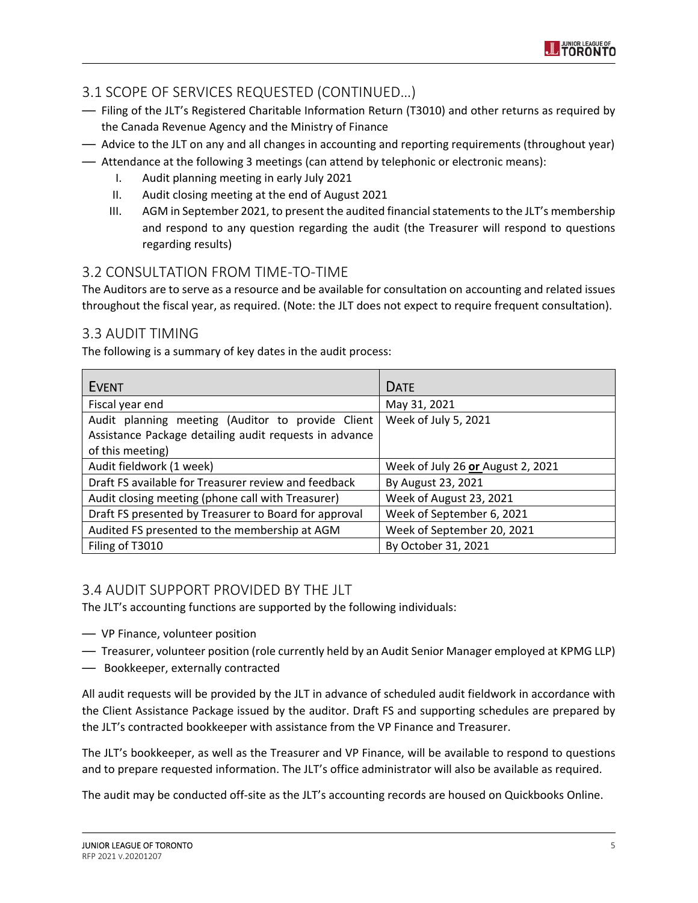

# 3.1 SCOPE OF SERVICES REQUESTED (CONTINUED…)

- Filing of the JLT's Registered Charitable Information Return (T3010) and other returns as required by the Canada Revenue Agency and the Ministry of Finance
- Advice to the JLT on any and all changes in accounting and reporting requirements (throughout year) — Attendance at the following 3 meetings (can attend by telephonic or electronic means):
	- I. Audit planning meeting in early July 2021
	- II. Audit closing meeting at the end of August 2021
	- III. AGM in September 2021, to present the audited financial statements to the JLT's membership and respond to any question regarding the audit (the Treasurer will respond to questions regarding results)

# 3.2 CONSULTATION FROM TIME‐TO‐TIME

The Auditors are to serve as a resource and be available for consultation on accounting and related issues throughout the fiscal year, as required. (Note: the JLT does not expect to require frequent consultation).

# 3.3 AUDIT TIMING

The following is a summary of key dates in the audit process:

| <b>EVENT</b>                                           | <b>DATE</b>                       |
|--------------------------------------------------------|-----------------------------------|
| Fiscal year end                                        | May 31, 2021                      |
| Audit planning meeting (Auditor to provide Client      | Week of July 5, 2021              |
| Assistance Package detailing audit requests in advance |                                   |
| of this meeting)                                       |                                   |
| Audit fieldwork (1 week)                               | Week of July 26 or August 2, 2021 |
| Draft FS available for Treasurer review and feedback   | By August 23, 2021                |
| Audit closing meeting (phone call with Treasurer)      | Week of August 23, 2021           |
| Draft FS presented by Treasurer to Board for approval  | Week of September 6, 2021         |
| Audited FS presented to the membership at AGM          | Week of September 20, 2021        |
| Filing of T3010                                        | By October 31, 2021               |

# 3.4 AUDIT SUPPORT PROVIDED BY THE JLT

The JLT's accounting functions are supported by the following individuals:

- VP Finance, volunteer position
- Treasurer, volunteer position (role currently held by an Audit Senior Manager employed at KPMG LLP)
- Bookkeeper, externally contracted

All audit requests will be provided by the JLT in advance of scheduled audit fieldwork in accordance with the Client Assistance Package issued by the auditor. Draft FS and supporting schedules are prepared by the JLT's contracted bookkeeper with assistance from the VP Finance and Treasurer.

The JLT's bookkeeper, as well as the Treasurer and VP Finance, will be available to respond to questions and to prepare requested information. The JLT's office administrator will also be available as required.

The audit may be conducted off‐site as the JLT's accounting records are housed on Quickbooks Online.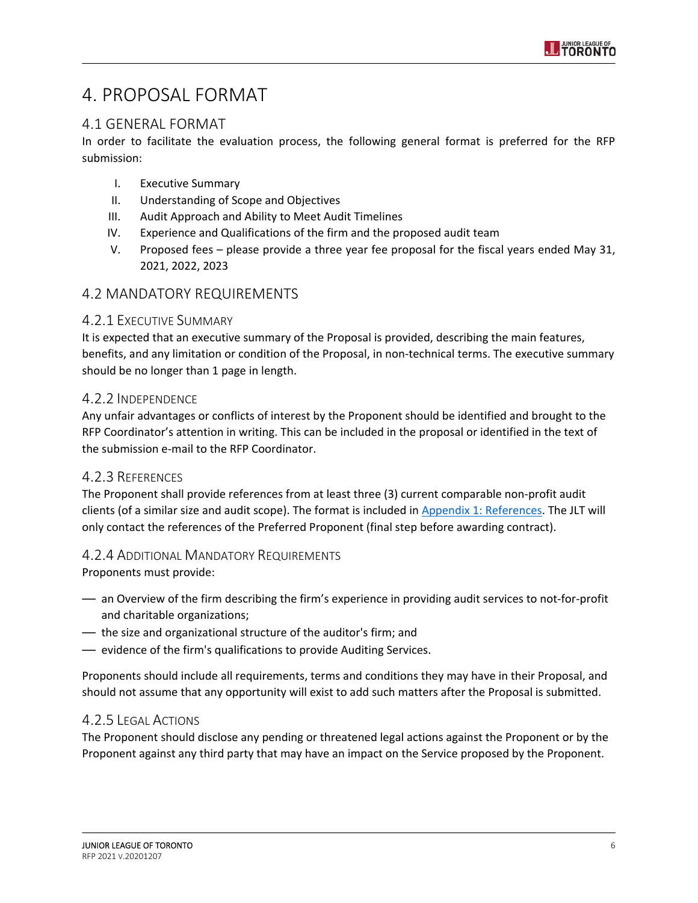# 4. PROPOSAL FORMAT

# 4.1 GENERAL FORMAT

In order to facilitate the evaluation process, the following general format is preferred for the RFP submission:

- I. Executive Summary
- II. Understanding of Scope and Objectives
- III. Audit Approach and Ability to Meet Audit Timelines
- IV. Experience and Qualifications of the firm and the proposed audit team
- V. Proposed fees please provide a three year fee proposal for the fiscal years ended May 31, 2021, 2022, 2023

# 4.2 MANDATORY REQUIREMENTS

#### 4.2.1 EXECUTIVE SUMMARY

It is expected that an executive summary of the Proposal is provided, describing the main features, benefits, and any limitation or condition of the Proposal, in non-technical terms. The executive summary should be no longer than 1 page in length.

#### 4.2.2 INDEPENDENCE

Any unfair advantages or conflicts of interest by the Proponent should be identified and brought to the RFP Coordinator's attention in writing. This can be included in the proposal or identified in the text of the submission e‐mail to the RFP Coordinator.

## 4.2.3 REFERENCES

The Proponent shall provide references from at least three (3) current comparable non‐profit audit clients (of a similar size and audit scope). The format is included in Appendix 1: References. The JLT will only contact the references of the Preferred Proponent (final step before awarding contract).

## 4.2.4 ADDITIONAL MANDATORY REQUIREMENTS

Proponents must provide:

- an Overview of the firm describing the firm's experience in providing audit services to not‐for‐profit and charitable organizations;
- the size and organizational structure of the auditor's firm; and
- evidence of the firm's qualifications to provide Auditing Services.

Proponents should include all requirements, terms and conditions they may have in their Proposal, and should not assume that any opportunity will exist to add such matters after the Proposal is submitted.

## 4.2.5 LEGAL ACTIONS

The Proponent should disclose any pending or threatened legal actions against the Proponent or by the Proponent against any third party that may have an impact on the Service proposed by the Proponent.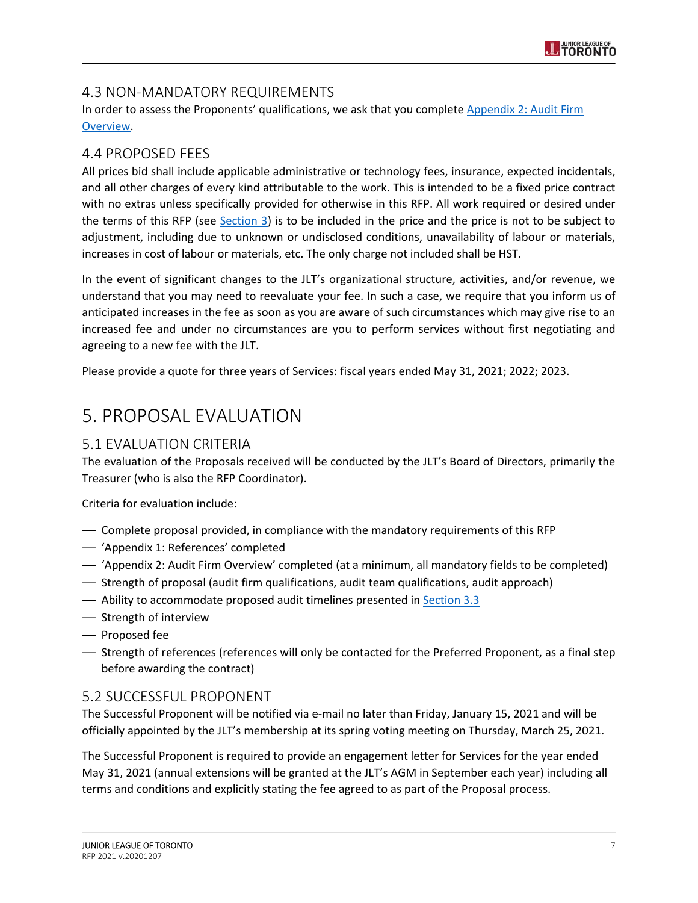# 4.3 NON‐MANDATORY REQUIREMENTS

In order to assess the Proponents' qualifications, we ask that you complete Appendix 2: Audit Firm Overview.

# 4.4 PROPOSED FEES

All prices bid shall include applicable administrative or technology fees, insurance, expected incidentals, and all other charges of every kind attributable to the work. This is intended to be a fixed price contract with no extras unless specifically provided for otherwise in this RFP. All work required or desired under the terms of this RFP (see Section 3) is to be included in the price and the price is not to be subject to adjustment, including due to unknown or undisclosed conditions, unavailability of labour or materials, increases in cost of labour or materials, etc. The only charge not included shall be HST.

In the event of significant changes to the JLT's organizational structure, activities, and/or revenue, we understand that you may need to reevaluate your fee. In such a case, we require that you inform us of anticipated increases in the fee as soon as you are aware of such circumstances which may give rise to an increased fee and under no circumstances are you to perform services without first negotiating and agreeing to a new fee with the JLT.

Please provide a quote for three years of Services: fiscal years ended May 31, 2021; 2022; 2023.

# 5. PROPOSAL EVALUATION

# 5.1 EVALUATION CRITERIA

The evaluation of the Proposals received will be conducted by the JLT's Board of Directors, primarily the Treasurer (who is also the RFP Coordinator).

Criteria for evaluation include:

- Complete proposal provided, in compliance with the mandatory requirements of this RFP
- 'Appendix 1: References' completed
- 'Appendix 2: Audit Firm Overview' completed (at a minimum, all mandatory fields to be completed)
- Strength of proposal (audit firm qualifications, audit team qualifications, audit approach)
- Ability to accommodate proposed audit timelines presented in **Section 3.3**
- Strength of interview
- Proposed fee
- Strength of references (references will only be contacted for the Preferred Proponent, as a final step before awarding the contract)

# 5.2 SUCCESSFUL PROPONENT

The Successful Proponent will be notified via e‐mail no later than Friday, January 15, 2021 and will be officially appointed by the JLT's membership at its spring voting meeting on Thursday, March 25, 2021.

The Successful Proponent is required to provide an engagement letter for Services for the year ended May 31, 2021 (annual extensions will be granted at the JLT's AGM in September each year) including all terms and conditions and explicitly stating the fee agreed to as part of the Proposal process.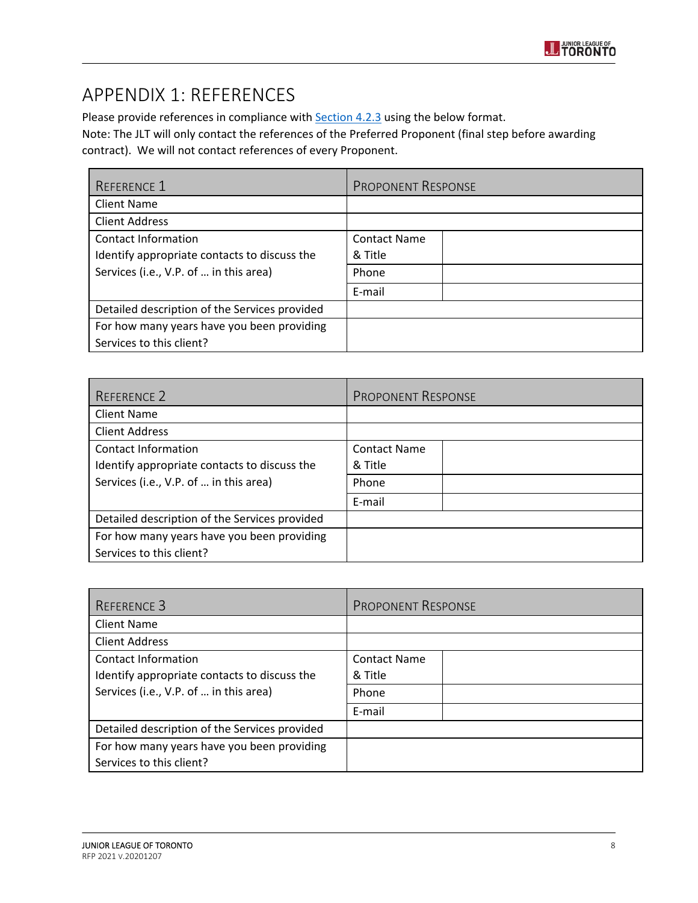

# APPENDIX 1: REFERENCES

Please provide references in compliance with **Section 4.2.3** using the below format. Note: The JLT will only contact the references of the Preferred Proponent (final step before awarding contract). We will not contact references of every Proponent.

| <b>REFERENCE 1</b>                            | <b>PROPONENT RESPONSE</b> |
|-----------------------------------------------|---------------------------|
| <b>Client Name</b>                            |                           |
| <b>Client Address</b>                         |                           |
| Contact Information                           | <b>Contact Name</b>       |
| Identify appropriate contacts to discuss the  | & Title                   |
| Services (i.e., V.P. of  in this area)        | Phone                     |
|                                               | E-mail                    |
| Detailed description of the Services provided |                           |
| For how many years have you been providing    |                           |
| Services to this client?                      |                           |

| REFERENCE 2                                   | <b>PROPONENT RESPONSE</b> |
|-----------------------------------------------|---------------------------|
| <b>Client Name</b>                            |                           |
| <b>Client Address</b>                         |                           |
| Contact Information                           | <b>Contact Name</b>       |
| Identify appropriate contacts to discuss the  | & Title                   |
| Services (i.e., V.P. of  in this area)        | Phone                     |
|                                               | E-mail                    |
| Detailed description of the Services provided |                           |
| For how many years have you been providing    |                           |
| Services to this client?                      |                           |

| REFERENCE 3                                   | <b>PROPONENT RESPONSE</b> |
|-----------------------------------------------|---------------------------|
| <b>Client Name</b>                            |                           |
| <b>Client Address</b>                         |                           |
| Contact Information                           | <b>Contact Name</b>       |
| Identify appropriate contacts to discuss the  | & Title                   |
| Services (i.e., V.P. of  in this area)        | Phone                     |
|                                               | E-mail                    |
| Detailed description of the Services provided |                           |
| For how many years have you been providing    |                           |
| Services to this client?                      |                           |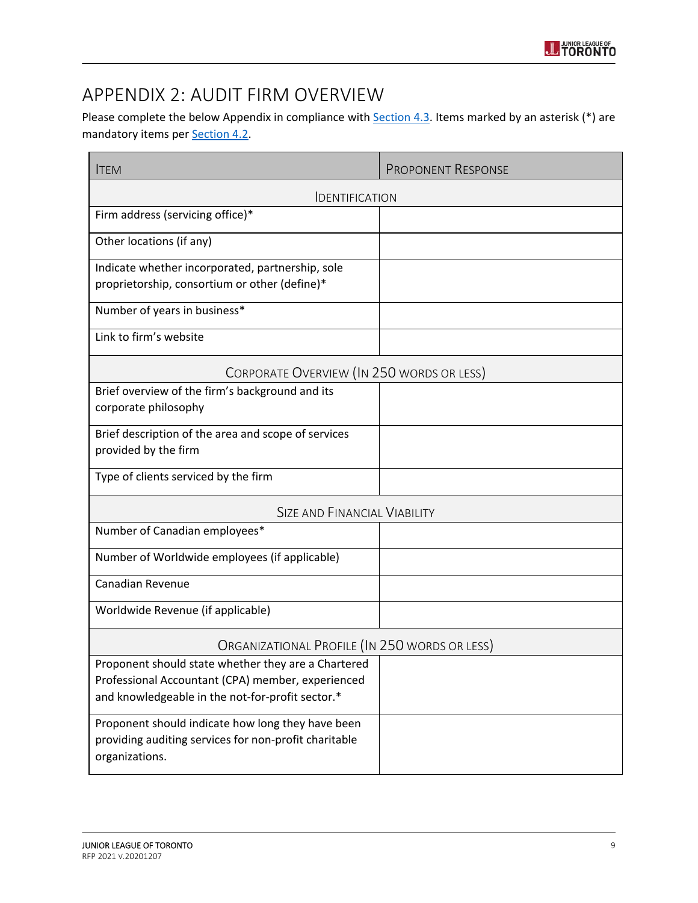# APPENDIX 2: AUDIT FIRM OVERVIEW

Please complete the below Appendix in compliance with **Section 4.3</u>. Items marked by an asterisk** (\*) are mandatory items per **Section 4.2**.

| <b>ITEM</b>                                                                                                                                                  | <b>PROPONENT RESPONSE</b> |  |
|--------------------------------------------------------------------------------------------------------------------------------------------------------------|---------------------------|--|
| <b>IDENTIFICATION</b>                                                                                                                                        |                           |  |
| Firm address (servicing office)*                                                                                                                             |                           |  |
| Other locations (if any)                                                                                                                                     |                           |  |
| Indicate whether incorporated, partnership, sole<br>proprietorship, consortium or other (define)*                                                            |                           |  |
| Number of years in business*                                                                                                                                 |                           |  |
| Link to firm's website                                                                                                                                       |                           |  |
| CORPORATE OVERVIEW (IN 250 WORDS OR LESS)                                                                                                                    |                           |  |
| Brief overview of the firm's background and its<br>corporate philosophy                                                                                      |                           |  |
| Brief description of the area and scope of services<br>provided by the firm                                                                                  |                           |  |
| Type of clients serviced by the firm                                                                                                                         |                           |  |
| <b>SIZE AND FINANCIAL VIABILITY</b>                                                                                                                          |                           |  |
| Number of Canadian employees*                                                                                                                                |                           |  |
| Number of Worldwide employees (if applicable)                                                                                                                |                           |  |
| Canadian Revenue                                                                                                                                             |                           |  |
| Worldwide Revenue (if applicable)                                                                                                                            |                           |  |
| ORGANIZATIONAL PROFILE (IN 250 WORDS OR LESS)                                                                                                                |                           |  |
| Proponent should state whether they are a Chartered<br>Professional Accountant (CPA) member, experienced<br>and knowledgeable in the not-for-profit sector.* |                           |  |
| Proponent should indicate how long they have been<br>providing auditing services for non-profit charitable<br>organizations.                                 |                           |  |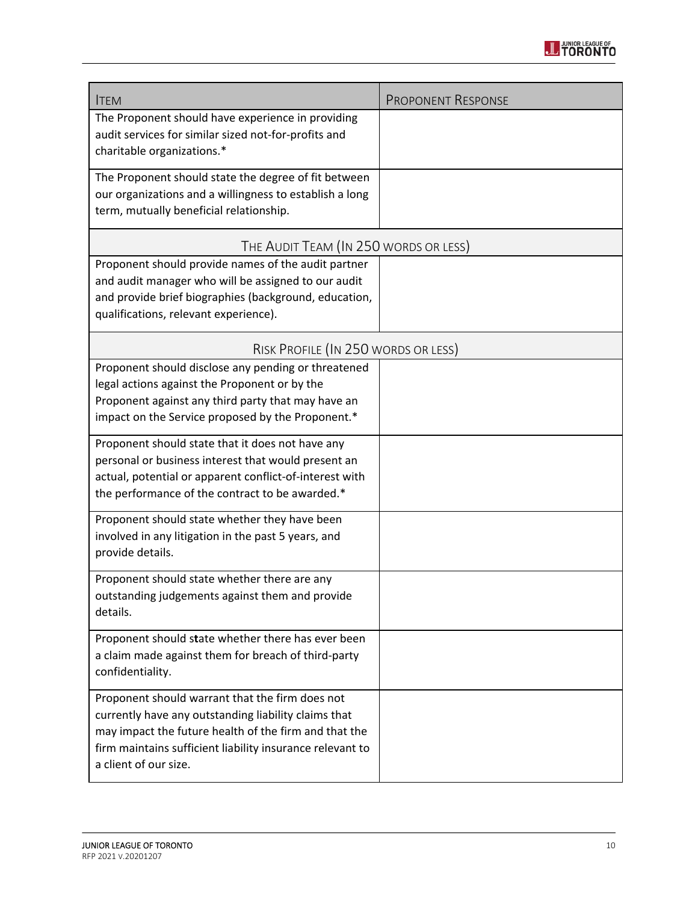

| <b>ITEM</b>                                                                                                                                                                                                                                            | <b>PROPONENT RESPONSE</b> |  |
|--------------------------------------------------------------------------------------------------------------------------------------------------------------------------------------------------------------------------------------------------------|---------------------------|--|
| The Proponent should have experience in providing<br>audit services for similar sized not-for-profits and<br>charitable organizations.*                                                                                                                |                           |  |
| The Proponent should state the degree of fit between<br>our organizations and a willingness to establish a long<br>term, mutually beneficial relationship.                                                                                             |                           |  |
| THE AUDIT TEAM (IN 250 WORDS OR LESS)                                                                                                                                                                                                                  |                           |  |
| Proponent should provide names of the audit partner<br>and audit manager who will be assigned to our audit<br>and provide brief biographies (background, education,<br>qualifications, relevant experience).                                           |                           |  |
| RISK PROFILE (IN 250 WORDS OR LESS)                                                                                                                                                                                                                    |                           |  |
| Proponent should disclose any pending or threatened<br>legal actions against the Proponent or by the<br>Proponent against any third party that may have an<br>impact on the Service proposed by the Proponent.*                                        |                           |  |
| Proponent should state that it does not have any<br>personal or business interest that would present an<br>actual, potential or apparent conflict-of-interest with<br>the performance of the contract to be awarded.*                                  |                           |  |
| Proponent should state whether they have been<br>involved in any litigation in the past 5 years, and<br>provide details.                                                                                                                               |                           |  |
| Proponent should state whether there are any<br>outstanding judgements against them and provide<br>details.                                                                                                                                            |                           |  |
| Proponent should state whether there has ever been<br>a claim made against them for breach of third-party<br>confidentiality.                                                                                                                          |                           |  |
| Proponent should warrant that the firm does not<br>currently have any outstanding liability claims that<br>may impact the future health of the firm and that the<br>firm maintains sufficient liability insurance relevant to<br>a client of our size. |                           |  |